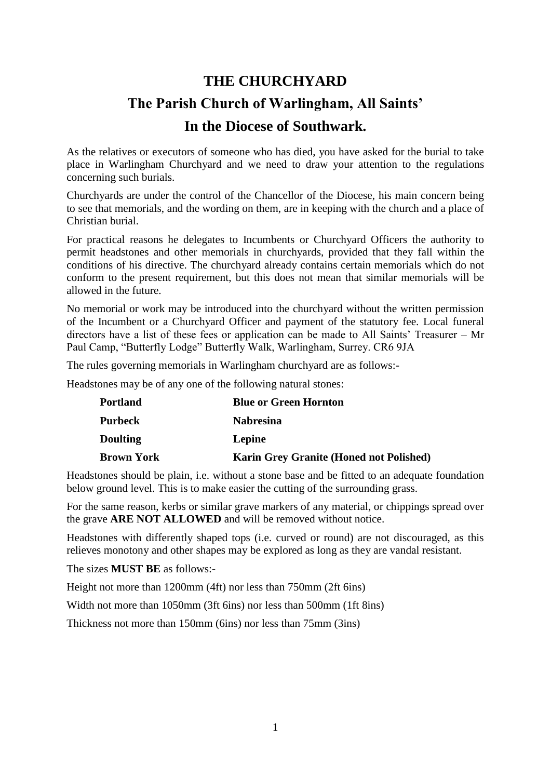## **THE CHURCHYARD The Parish Church of Warlingham, All Saints' In the Diocese of Southwark.**

As the relatives or executors of someone who has died, you have asked for the burial to take place in Warlingham Churchyard and we need to draw your attention to the regulations concerning such burials.

Churchyards are under the control of the Chancellor of the Diocese, his main concern being to see that memorials, and the wording on them, are in keeping with the church and a place of Christian burial.

For practical reasons he delegates to Incumbents or Churchyard Officers the authority to permit headstones and other memorials in churchyards, provided that they fall within the conditions of his directive. The churchyard already contains certain memorials which do not conform to the present requirement, but this does not mean that similar memorials will be allowed in the future.

No memorial or work may be introduced into the churchyard without the written permission of the Incumbent or a Churchyard Officer and payment of the statutory fee. Local funeral directors have a list of these fees or application can be made to All Saints' Treasurer – Mr Paul Camp, "Butterfly Lodge" Butterfly Walk, Warlingham, Surrey. CR6 9JA

The rules governing memorials in Warlingham churchyard are as follows:-

Headstones may be of any one of the following natural stones:

| <b>Portland</b>   | <b>Blue or Green Hornton</b>                   |
|-------------------|------------------------------------------------|
| <b>Purbeck</b>    | <b>Nabresina</b>                               |
| <b>Doulting</b>   | Lepine                                         |
| <b>Brown York</b> | <b>Karin Grey Granite (Honed not Polished)</b> |

Headstones should be plain, i.e. without a stone base and be fitted to an adequate foundation below ground level. This is to make easier the cutting of the surrounding grass.

For the same reason, kerbs or similar grave markers of any material, or chippings spread over the grave **ARE NOT ALLOWED** and will be removed without notice.

Headstones with differently shaped tops (i.e. curved or round) are not discouraged, as this relieves monotony and other shapes may be explored as long as they are vandal resistant.

The sizes **MUST BE** as follows:-

Height not more than 1200mm (4ft) nor less than 750mm (2ft 6ins)

Width not more than 1050mm (3ft 6ins) nor less than 500mm (1ft 8ins)

Thickness not more than 150mm (6ins) nor less than 75mm (3ins)